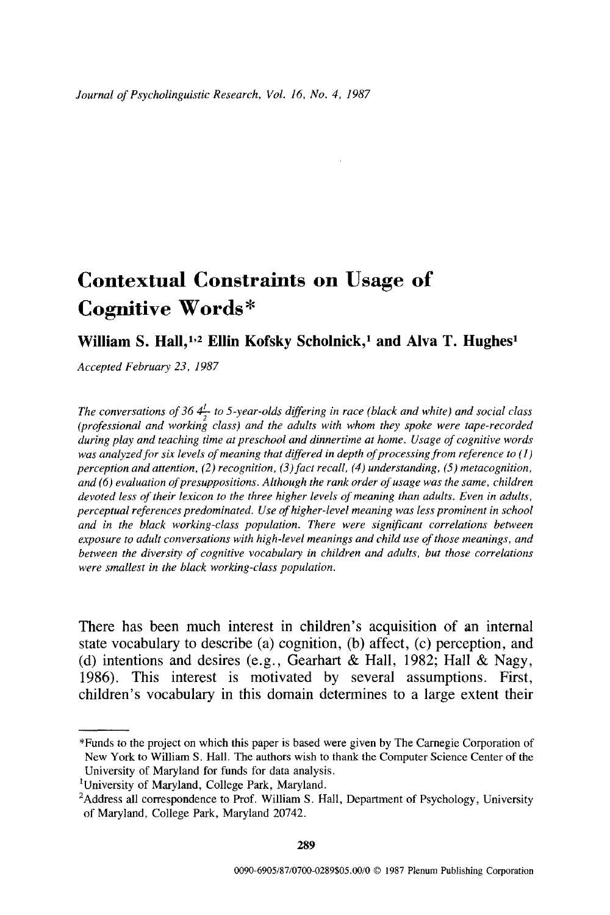# **Contextual Constraints on Usage of Cognitive Words\***

### **William S. Hall, 1• 2 Ellin Kofsky Scholnick, 1 and Alva T. Hughes1**

*Accepted February 23, 1987* 

*The conversations of 36*  $4\frac{1}{5}$  *to 5-year-olds differing in race (black and white) and social class (professional and working class) and the adults with whom they spoke were tape-recorded during play and teaching time at preschool and dinnertime at home. Usage of cognitive words was analyzed for six levels of meaning that differed in depth of processing from reference to ( 1) perception and attention, (2) recognition, (3) fact recall, (4) understanding, (5) metacognition, and (6) evaluation of presuppositions. Although the rank order of usage was the same, children devoted less of their lexicon to the three higher levels of meaning than adults. Even in adults, perceptual references predominated. Use of higher-level meaning was less prominent in school and in the black working-class population. There were significant correlations between exposure to adult conversations with high-level meanings and child use of those meanings, and between the diversity of cognitive vocabulary in children and adults, but those correlations were smallest in the black working-class population.* 

There has been much interest in children's acquisition of an internal state vocabulary to describe (a) cognition, (b) affect, (c) perception, and (d) intentions and desires (e.g., Gearhart & Hall, 1982; Hall & Nagy, 1986). This interest is motivated by several assumptions. First, children's vocabulary in this domain determines to a large extent their

<sup>\*</sup>Funds to the project on which this paper is based were given by The Carnegie Corporation of New York to William S. Hall. The authors wish to thank the Computer Science Center of the University of Maryland for funds for data analysis. 1

<sup>&</sup>lt;sup>1</sup>University of Maryland, College Park, Maryland.

<sup>&</sup>lt;sup>2</sup>Address all correspondence to Prof. William S. Hall, Department of Psychology, University of Maryland, College Park, Maryland 20742.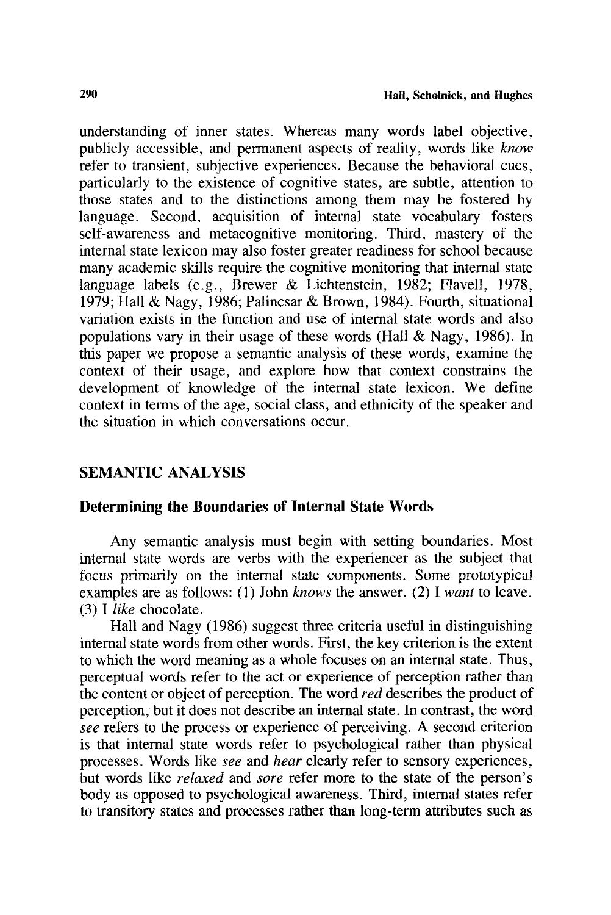understanding of inner states. Whereas many words label objective, publicly accessible, and permanent aspects of reality, words like *know*  refer to transient, subjective experiences. Because the behavioral cues, particularly to the existence of cognitive states, are subtle, attention to those states and to the distinctions among them may be fostered by language. Second, acquisition of internal state vocabulary fosters self-awareness and metacognitive monitoring. Third, mastery of the internal state lexicon may also foster greater readiness for school because many academic skills require the cognitive monitoring that internal state language labels (e.g., Brewer & Lichtenstein, 1982; Flavell, 1978, 1979; Hall & Nagy, 1986; Palincsar & Brown, 1984). Fourth, situational variation exists in the function and use of internal state words and also populations vary in their usage of these words (Hall & Nagy, 1986). In this paper we propose a semantic analysis of these words, examine the context of their usage, and explore how that context constrains the development of knowledge of the internal state lexicon. We define context in terms of the age, social class, and ethnicity of the speaker and the situation in which conversations occur.

### **SEMANTIC ANALYSIS**

### **Determining the Boundaries of Internal State Words**

Any semantic analysis must begin with setting boundaries. Most internal state words are verbs with the experiencer as the subject that focus primarily on the internal state components. Some prototypical examples are as follows: (1) John *knows* the answer. (2) I *want* to leave. (3) I *like* chocolate.

Hall and Nagy (1986) suggest three criteria useful in distinguishing internal state words from other words. First, the key criterion is the extent to which the word meaning as a whole focuses on an internal state. Thus, perceptual words refer to the act or experience of perception rather than the content or object of perception. The word *red* describes the product of perception, but it does not describe an internal state. **In** contrast, the word *see* refers to the process or experience of perceiving. A second criterion is that internal state words refer to psychological rather than physical processes. Words like *see* and *hear* clearly refer to sensory experiences, but words like *relaxed* and *sore* refer more to the state of the person's body as opposed to psychological awareness. Third, internal states refer to transitory states and processes rather than long-term attributes such as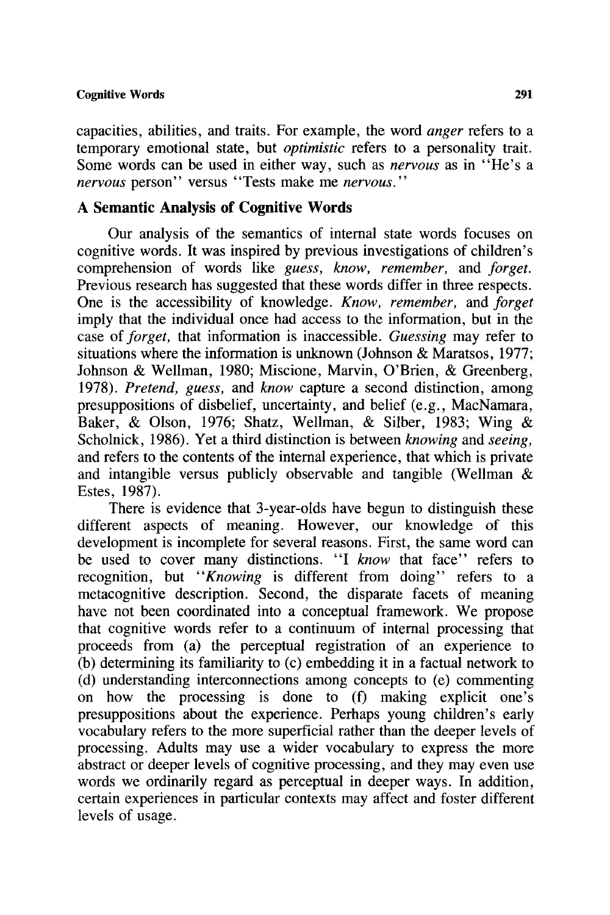capacities, abilities, and traits. For example, the word *anger* refers to a temporary emotional state, but *optimistic* refers to a personality trait. Some words can be used in either way, such as *nervous* as in "He's a *nervous* person" versus "Tests make me *nervous."* 

### **A Semantic Analysis of Cognitive Words**

Our analysis of the semantics of internal state words focuses on cognitive words. It was inspired by previous investigations of children's comprehension of words like *guess, know, remember,* and *forget.*  Previous research has suggested that these words differ in three respects. One is the accessibility of knowledge. *Know, remember,* and *forget*  imply that the individual once had access to the information, but in the case of *forget,* that information is inaccessible. *Guessing* may refer to situations where the information is unknown (Johnson & Maratsos, 1977; Johnson & Wellman, 1980; Miscione, Marvin, O'Brien, & Greenberg, 1978). *Pretend, guess,* and *know* capture a second distinction, among presuppositions of disbelief, uncertainty, and belief (e.g., MacNamara, Baker, & Olson, 1976; Shatz, Wellman, & Silber, 1983; Wing & Scholnick, 1986). Yet a third distinction is between *knowing* and *seeing,*  and refers to the contents of the internal experience, that which is private and intangible versus publicly observable and tangible (Wellman & Estes, 1987).

There is evidence that 3-year-olds have begun to distinguish these different aspects of meaning. However, our knowledge of this development is incomplete for several reasons. First, the same word can be used to cover many distinctions. "I know that face" refers to recognition, but *"Knowing* is different from doing" refers to a metacognitive description. Second, the disparate facets of meaning have not been coordinated into a conceptual framework. We propose that cognitive words refer to a continuum of internal processing that proceeds from (a) the perceptual registration of an experience to  $(b)$  determining its familiarity to  $(c)$  embedding it in a factual network to (d) understanding interconnections among concepts to (e) commenting on how the processing is done to (f) making explicit one's presuppositions about the experience. Perhaps young children's early vocabulary refers to the more superficial rather than the deeper levels of processing. Adults may use a wider vocabulary to express the more abstract or deeper levels of cognitive processing, and they may even use words we ordinarily regard as perceptual in deeper ways. In addition, certain experiences in particular contexts may affect and foster different levels of usage.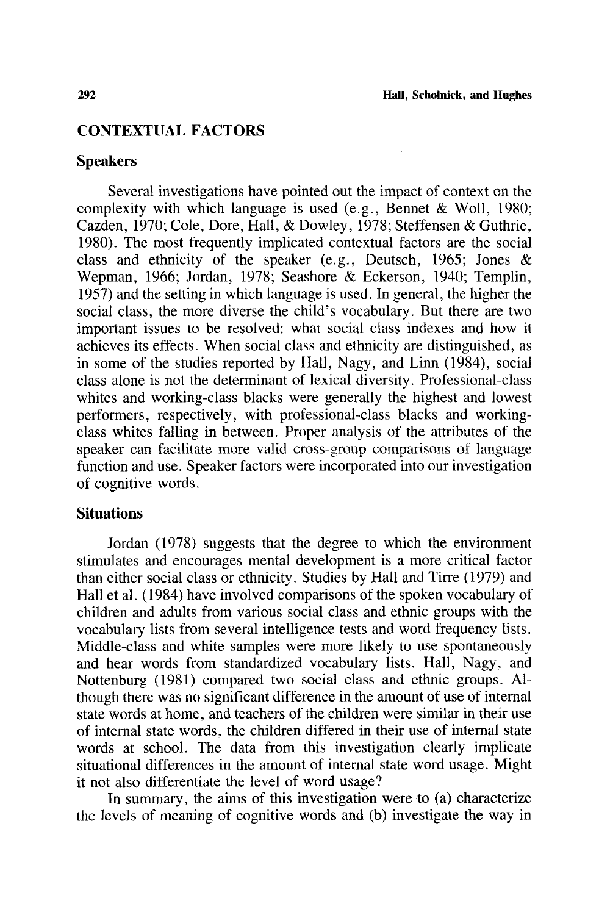# **CONTEXTUAL FACTORS**

### **Speakers**

Several investigations have pointed out the impact of context on the complexity with which language is used (e.g., Bennet & Woll, 1980; Cazden, 1970; Cole, Dore, Hall, & Dowley, 1978; Steffensen & Guthrie, 1980). The most frequently implicated contextual factors are the social class and ethnicity of the speaker (e.g., Deutsch, 1965; Jones & Wepman, 1966; Jordan, 1978; Seashore & Eckerson, 1940; Templin, 1957) and the setting in which language is used. In general, the higher the social class, the more diverse the child's vocabulary. But there are two important issues to be resolved: what social class indexes and how it achieves its effects. When social class and ethnicity are distinguished, as in some of the studies reported by Hall, Nagy, and Linn (1984), social class alone is not the determinant of lexical diversity. Professional-class whites and working-class blacks were generally the highest and lowest performers, respectively, with professional-class blacks and workingclass whites falling in between. Proper analysis of the attributes of the speaker can facilitate more valid cross-group comparisons of language function and use. Speaker factors were incorporated into our investigation of cognitive words.

# **Situations**

Jordan (1978) suggests that the degree to which the environment stimulates and encourages mental development is a more critical factor than either social class or ethnicity. Studies by Hall and Tirre (1979) and Hall et al. (1984) have involved comparisons of the spoken vocabulary of children and adults from various social class and ethnic groups with the vocabulary lists from several intelligence tests and word frequency lists. Middle-class and white samples were more likely to use spontaneously and hear words from standardized vocabulary lists. Hall, Nagy, and Nottenburg (1981) compared two social class and ethnic groups. Although there was no significant difference in the amount of use of internal state words at home, and teachers of the children were similar in their use of internal state words, the children differed in their use of internal state words at school. The data from this investigation clearly implicate situational differences in the amount of internal state word usage. Might it not also differentiate the level of word usage?

In summary, the aims of this investigation were to (a) characterize the levels of meaning of cognitive words and (b) investigate the way in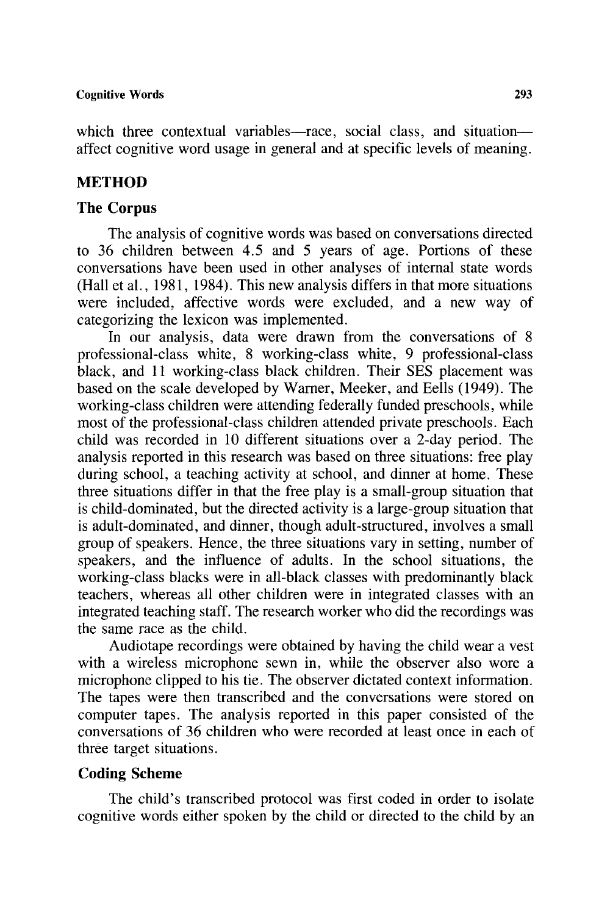which three contextual variables—race, social class, and situation affect cognitive word usage in general and at specific levels of meaning.

# **METHOD**

## **The Corpus**

The analysis of cognitive words was based on conversations directed to 36 children between 4.5 and 5 years of age. Portions of these conversations have been used in other analyses of internal state words (Hall et al., 1981, 1984). This new analysis differs in that more situations were included, affective words were excluded, and a new way of categorizing the lexicon was implemented.

In our analysis, data were drawn from the conversations of 8 professional-class white, 8 working-class white, 9 professional-class black, and 11 working-class black children. Their SES placement was based on the scale developed by Warner, Meeker, and Eells (1949). The working-class children were attending federally funded preschools, while most of the professional-class children attended private preschools. Each child was recorded in 10 different situations over a 2-day period. The analysis reported in this research was based on three situations: free play during school, a teaching activity at school, and dinner at home. These three situations differ in that the free play is a small-group situation that is child-dominated, but the directed activity is a large-group situation that is adult-dominated, and dinner, though adult-structured, involves a small group of speakers. Hence, the three situations vary in setting, number of speakers, and the influence of adults. In the school situations, the working-class blacks were in all-black classes with predominantly black teachers, whereas all other children were in integrated classes with an integrated teaching staff. The research worker who did the recordings was the same race as the child.

Audiotape recordings were obtained by having the child wear a vest with a wireless microphone sewn in, while the observer also wore a microphone clipped to his tie. The observer dictated context information. The tapes were then transcribed and the conversations were stored on computer tapes. The analysis reported in this paper consisted of the conversations of 36 children who were recorded at least once in each of three target situations.

# **Coding Scheme**

The child's transcribed protocol was first coded in order to isolate cognitive words either spoken by the child or directed to the child by an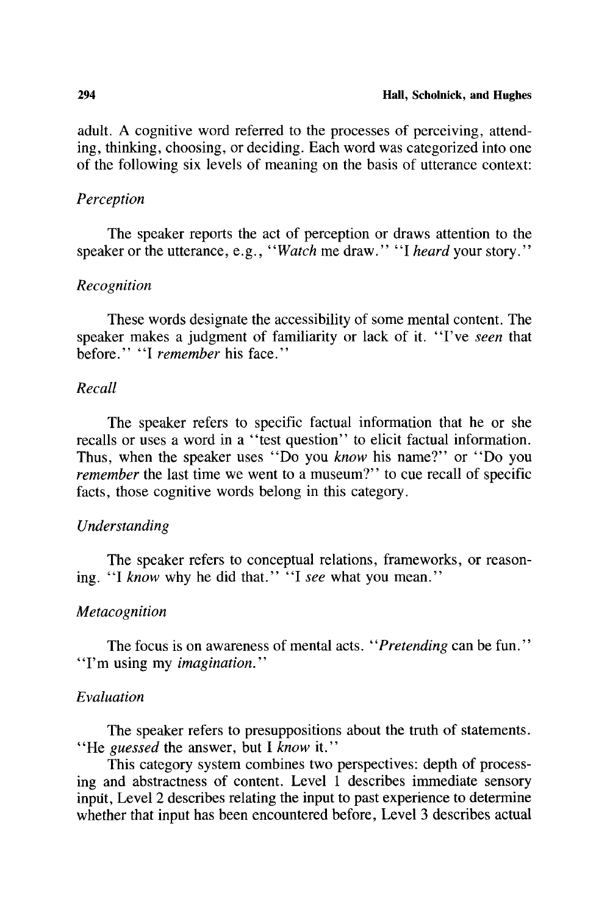adult. A cognitive word referred to the processes of perceiving, attending, thinking, choosing, or deciding. Each word was categorized into one of the following six levels of meaning on the basis of utterance context:

### *Perception*

The speaker reports the act of perception or draws attention to the speaker or the utterance, e.g., *"Watch* me draw." "I *heard* your story."

### *Recognition*

These words designate the accessibility of some mental content. The speaker makes a judgment of familiarity or lack of it. ''I've *seen* that before.'' "I *remember* his face.''

### *Recall*

The speaker refers to specific factual information that he or she recalls or uses a word in a "test question" to elicit factual information. Thus, when the speaker uses "Do you *know* his name?" or "Do you *remember* the last time we went to a museum?" to cue recall of specific facts, those cognitive words belong in this category.

### *Understanding*

The speaker refers to conceptual relations, frameworks, or reasoning. "I know why he did that." "I see what you mean."

### *M etaco gnition*

The focus is on awareness of mental acts. '' *Pretending* can be fun.'' "I'm using my *imagination."* 

### *Evaluation*

The speaker refers to presuppositions about the truth of statements. "He *guessed* the answer, but I *know* it."

This category system combines two perspectives: depth of processing and abstractness of content. Level 1 describes immediate sensory input, Level 2 describes relating the input to past experience to determine whether that input has been encountered before, Level 3 describes actual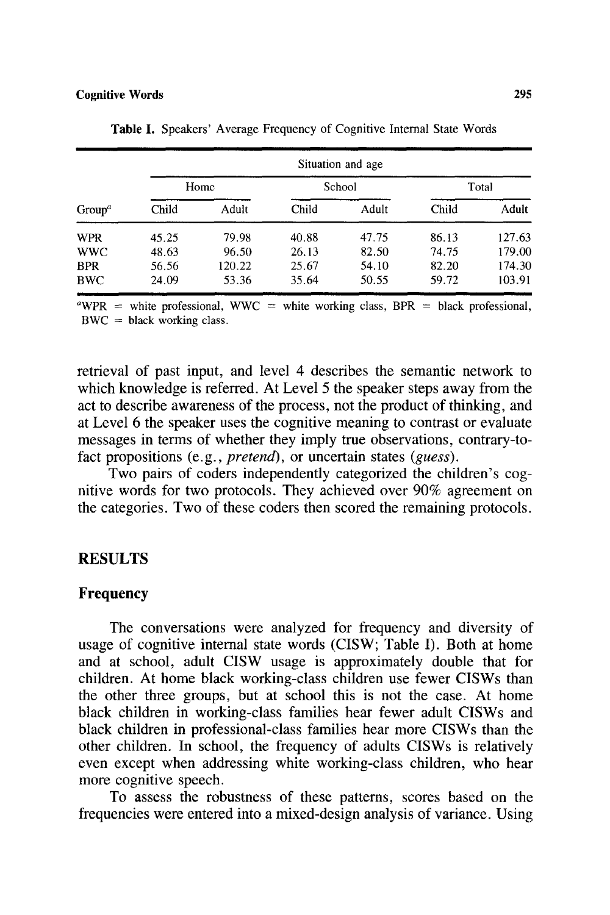| Group <sup>a</sup> |       |        |       | Situation and age |       |        |
|--------------------|-------|--------|-------|-------------------|-------|--------|
|                    | Home  |        |       | School            | Total |        |
|                    | Child | Adult  | Child | Adult             | Child | Adult  |
| <b>WPR</b>         | 45.25 | 79.98  | 40.88 | 47.75             | 86.13 | 127.63 |
| <b>WWC</b>         | 48.63 | 96.50  | 26.13 | 82.50             | 74.75 | 179.00 |
| <b>BPR</b>         | 56.56 | 120.22 | 25.67 | 54.10             | 82.20 | 174.30 |
| <b>BWC</b>         | 24.09 | 53.36  | 35.64 | 50.55             | 59.72 | 103.91 |

**Table** I. Speakers' Average Frequency of Cognitive Internal State Words

<sup>a</sup>WPR = white professional, WWC = white working class, BPR = black professional,  $BWC = black working class.$ 

retrieval of past input, and level 4 describes the semantic network to which knowledge is referred. At Level 5 the speaker steps away from the act to describe awareness of the process, not the product of thinking, and at Level 6 the speaker uses the cognitive meaning to contrast or evaluate messages in terms of whether they imply true observations, contrary-tofact propositions (e.g., *pretend),* or uncertain states *(guess).* 

Two pairs of coders independently categorized the children's cognitive words for two protocols. They achieved over 90% agreement on the categories. Two of these coders then scored the remaining protocols.

# **RESULTS**

### **Frequency**

The conversations were analyzed for frequency and diversity of usage of cognitive internal state words (CISW; Table I). Both at home and at school, adult CISW usage is approximately double that for children. At home black working-class children use fewer CISWs than the other three groups, but at school this is not the case. At home black children in working-class families hear fewer adult CISWs and black children in professional-class families hear more CISWs than the other children. In school, the frequency of adults CISWs is relatively even except when addressing white working-class children, who hear more cognitive speech.

To assess the robustness of these patterns, scores based on the frequencies were entered into a mixed-design analysis of variance. Using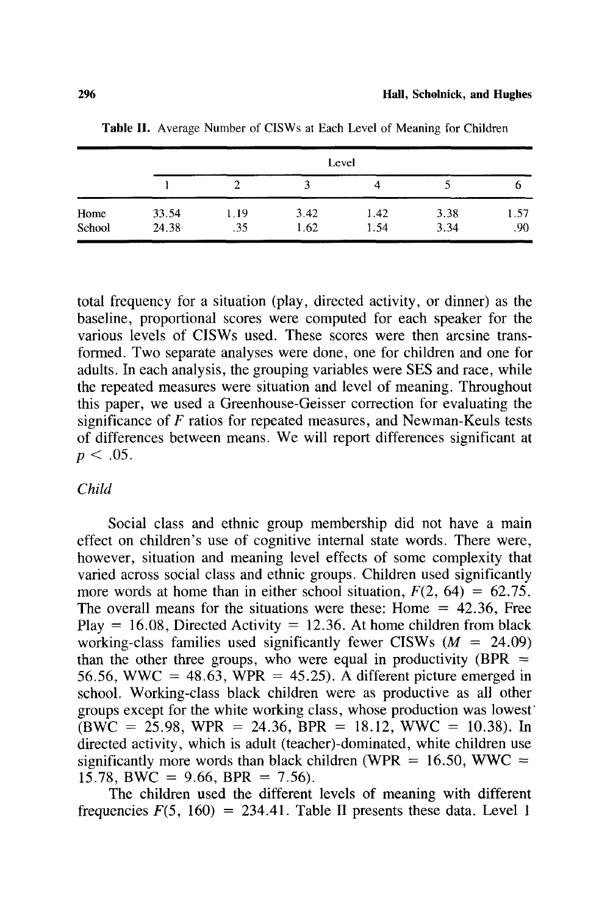|        | Level |      |      |      |      |      |  |  |
|--------|-------|------|------|------|------|------|--|--|
|        |       |      |      |      |      | Ð    |  |  |
| Home   | 33.54 | 1.19 | 3.42 | 1.42 | 3.38 | 1.57 |  |  |
| School | 24.38 | .35  | 1.62 | 1.54 | 3.34 | .90  |  |  |

**Table** II. Average Number of CISWs at Each Level of Meaning for Children

total frequency for a situation (play, directed activity, or dinner) as the baseline, proportional scores were computed for each speaker for the various levels of CISWs used. These scores were then arcsine transformed. Two separate analyses were done, one for children and one for adults. In each analysis, the grouping variables were SES and race, while the repeated measures were situation and level of meaning. Throughout this paper, we used a Greenhouse-Geisser correction for evaluating the significance of *F* ratios for repeated measures, and Newman-Keuls tests of differences between means. We will report differences significant at  $p < .05$ .

### *Child*

Social class and ethnic group membership did not have a main effect on children's use of cognitive internal state words. There were, however, situation and meaning level effects of some complexity that varied across social class and ethnic groups. Children used significantly more words at home than in either school situation,  $F(2, 64) = 62.75$ . The overall means for the situations were these: Home  $= 42.36$ , Free  $Play = 16.08$ , Directed Activity = 12.36. At home children from black working-class families used significantly fewer CISWs  $(M = 24.09)$ than the other three groups, who were equal in productivity (BPR  $=$ 56.56, WWC =  $48.63$ , WPR =  $45.25$ ). A different picture emerged in school. Working-class black children were as productive as all other groups except for the white working class, whose production was lowest·  $(BWC = 25.98, WPR = 24.36, BPR = 18.12, WWC = 10.38$ . In directed activity, which is adult (teacher)-dominated, white children use significantly more words than black children (WPR = 16.50, WWC = 15.78, BWC = 9.66, BPR = 7.56).

The children used the different levels of meaning with different frequencies  $F(5, 160) = 234.41$ . Table II presents these data. Level 1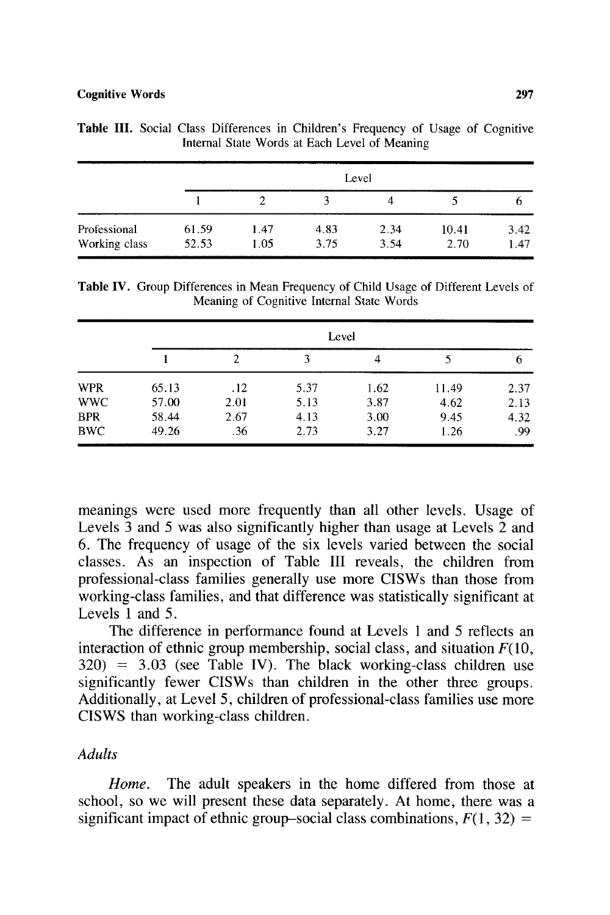|                               | Level          |              |              |              |               |              |  |
|-------------------------------|----------------|--------------|--------------|--------------|---------------|--------------|--|
|                               |                |              |              |              |               | v            |  |
| Professional<br>Working class | 61.59<br>52.53 | 1.47<br>1.05 | 4.83<br>3.75 | 2.34<br>3.54 | 10.41<br>2.70 | 3.42<br>1.47 |  |

**Table** III. Social Class Differences in Children's Frequency of Usage of Cognitive Internal State Words at Each Level of Meaning

**Table IV.** Group Differences in Mean Frequency of Child Usage of Different Levels of Meaning of Cognitive Internal State Words

|            |       | Level |      |      |       |      |  |  |
|------------|-------|-------|------|------|-------|------|--|--|
|            |       |       | 3    | 4    |       | 6    |  |  |
| <b>WPR</b> | 65.13 | .12   | 5.37 | 1.62 | 11.49 | 2.37 |  |  |
| <b>WWC</b> | 57.00 | 2.01  | 5.13 | 3.87 | 4.62  | 2.13 |  |  |
| <b>BPR</b> | 58.44 | 2.67  | 4.13 | 3.00 | 9.45  | 4.32 |  |  |
| <b>BWC</b> | 49.26 | .36   | 2.73 | 3.27 | 1.26  | .99  |  |  |

meanings were used more frequently than all other levels. Usage of Levels 3 and 5 was also significantly higher than usage at Levels 2 and 6. The frequency of usage of the six levels varied between the social classes. As an inspection of Table III reveals, the children from professional-class families generally use more CISWs than those from working-class families, and that difference was statistically significant at Levels 1 and 5.

The difference in performance found at Levels 1 and 5 reflects an interaction of ethnic group membership, social class, and situation  $F(10)$ ,  $320$  = 3.03 (see Table IV). The black working-class children use significantly fewer CISWs than children in the other three groups. Additionally, at Level 5, children of professional-class families use more CISWS than working-class children.

### *Adults*

*Home.* The adult speakers in the home differed from those at school, so we will present these data separately. At home, there was a significant impact of ethnic group-social class combinations,  $F(1, 32) =$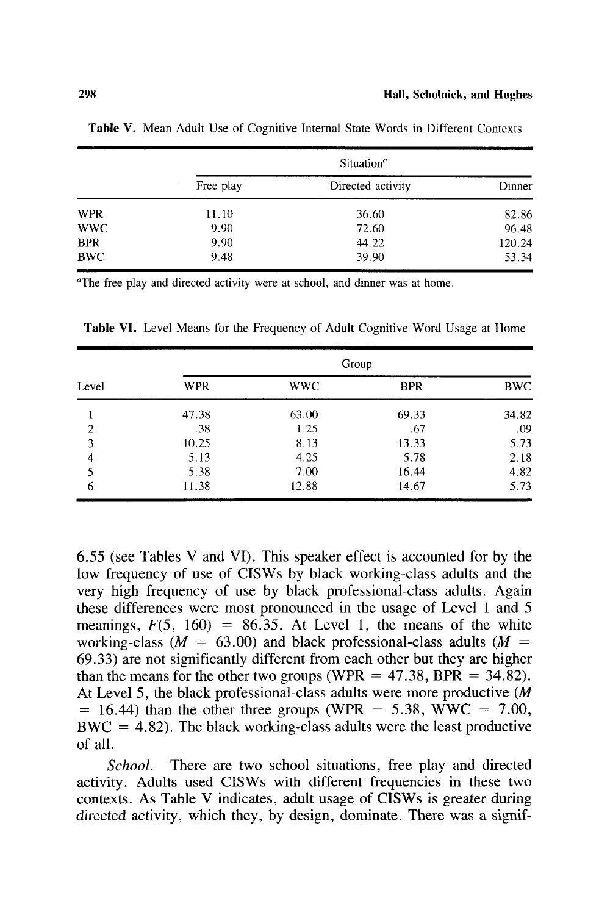|            | Situation <sup>a</sup> |                   |        |  |  |
|------------|------------------------|-------------------|--------|--|--|
|            | Free play              | Directed activity | Dinner |  |  |
| <b>WPR</b> | 11.10                  | 36.60             | 82.86  |  |  |
| <b>WWC</b> | 9.90                   | 72.60             | 96.48  |  |  |
| <b>BPR</b> | 9.90                   | 44.22             | 120.24 |  |  |
| <b>BWC</b> | 9.48                   | 39.90             | 53.34  |  |  |

Table V. Mean Adult Use of Cognitive Internal State Words in Different Contexts

<sup>a</sup>The free play and directed activity were at school, and dinner was at home.

|                | Group      |            |            |            |  |  |  |
|----------------|------------|------------|------------|------------|--|--|--|
| Level          | <b>WPR</b> | <b>WWC</b> | <b>BPR</b> | <b>BWC</b> |  |  |  |
|                | 47.38      | 63.00      | 69.33      | 34.82      |  |  |  |
| 2              | .38        | 1.25       | -67        | .09        |  |  |  |
| 3              | 10.25      | 8.13       | 13.33      | 5.73       |  |  |  |
| $\overline{4}$ | 5.13       | 4.25       | 5.78       | 2.18       |  |  |  |
|                | 5.38       | 7.00       | 16.44      | 4.82       |  |  |  |
| 6              | 11.38      | 12.88      | 14.67      | 5.73       |  |  |  |

Table VI. Level Means for the Frequency of Adult Cognitive Word Usage at Home

6.55 (see Tables V and VI). This speaker effect is accounted for by the low frequency of use of CISWs by black working-class adults and the very high frequency of use by black professional-class adults. Again these differences were most pronounced in the usage of Level 1 and 5 meanings,  $F(5, 160) = 86.35$ . At Level 1, the means of the white working-class ( $M = 63.00$ ) and black professional-class adults ( $M =$ 69.33) are not significantly different from each other but they are higher than the means for the other two groups (WPR =  $47.38$ , BPR =  $34.82$ ). At Level 5, the black professional-class adults were more productive (M  $= 16.44$ ) than the other three groups (WPR  $= 5.38$ , WWC  $= 7.00$ ,  $BWC = 4.82$ ). The black working-class adults were the least productive of all.

*School.* There are two school situations, free play and directed activity. Adults used CISWs with different frequencies in these two contexts. As Table V indicates, adult usage of CISWs is greater during directed activity, which they, by design, dominate. There was a signif-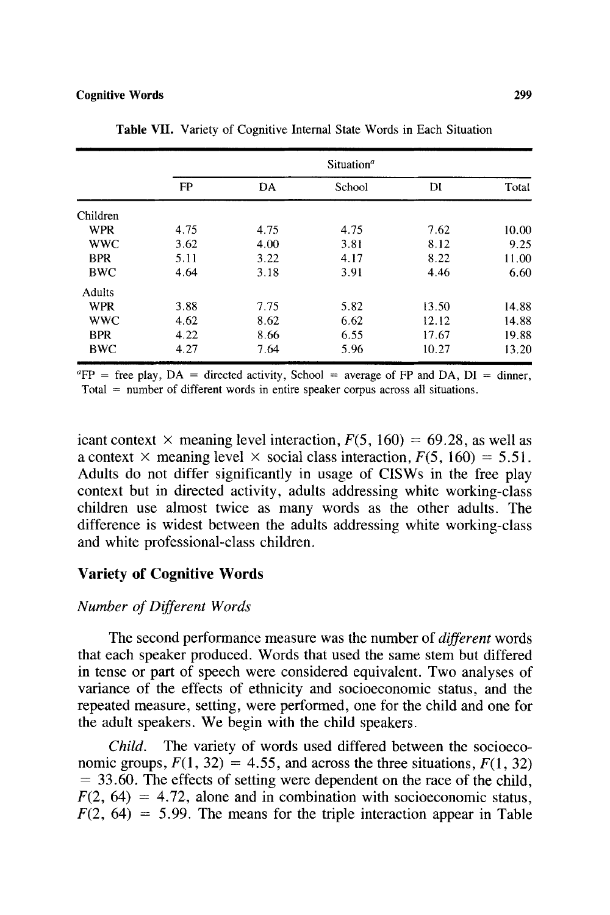|               |      | Situation <sup>a</sup> |        |       |       |  |  |  |  |
|---------------|------|------------------------|--------|-------|-------|--|--|--|--|
|               | FP   | DA                     | School | DI    | Total |  |  |  |  |
| Children      |      |                        |        |       |       |  |  |  |  |
| <b>WPR</b>    | 4.75 | 4.75                   | 4.75   | 7.62  | 10.00 |  |  |  |  |
| <b>WWC</b>    | 3.62 | 4.00                   | 3.81   | 8.12  | 9.25  |  |  |  |  |
| <b>BPR</b>    | 5.11 | 3.22                   | 4.17   | 8.22  | 11.00 |  |  |  |  |
| <b>BWC</b>    | 4.64 | 3.18                   | 3.91   | 4.46  | 6.60  |  |  |  |  |
| <b>Adults</b> |      |                        |        |       |       |  |  |  |  |
| <b>WPR</b>    | 3.88 | 7.75                   | 5.82   | 13.50 | 14.88 |  |  |  |  |
| <b>WWC</b>    | 4.62 | 8.62                   | 6.62   | 12.12 | 14.88 |  |  |  |  |
| <b>BPR</b>    | 4.22 | 8.66                   | 6.55   | 17.67 | 19.88 |  |  |  |  |
| <b>BWC</b>    | 4.27 | 7.64                   | 5.96   | 10.27 | 13.20 |  |  |  |  |

**Table VII.** Variety of Cognitive Internal State Words in Each Situation

 ${}^{a}FP$  = free play, DA = directed activity, School = average of FP and DA, DI = dinner, Total = number of different words in entire speaker corpus across all situations.

icant context  $\times$  meaning level interaction,  $F(5, 160) = 69.28$ , as well as a context  $\times$  meaning level  $\times$  social class interaction,  $F(5, 160) = 5.51$ . Adults do not differ significantly in usage of CISWs in the free play context but in directed activity, adults addressing white working-class children use almost twice as many words as the other adults. The difference is widest between the adults addressing white working-class and white professional-class children.

### **Variety of Cognitive Words**

# *Number of Different Words*

The second performance measure was the number of *different* words that each speaker produced. Words that used the same stem but differed in tense or part of speech were considered equivalent. Two analyses of variance of the effects of ethnicity and socioeconomic status, and the repeated measure, setting, were performed, one for the child and one for the adult speakers. We begin with the child speakers.

*Child.* The variety of words used differed between the socioeconomic groups,  $F(1, 32) = 4.55$ , and across the three situations,  $F(1, 32)$  $= 33.60$ . The effects of setting were dependent on the race of the child,  $F(2, 64) = 4.72$ , alone and in combination with socioeconomic status,  $F(2, 64) = 5.99$ . The means for the triple interaction appear in Table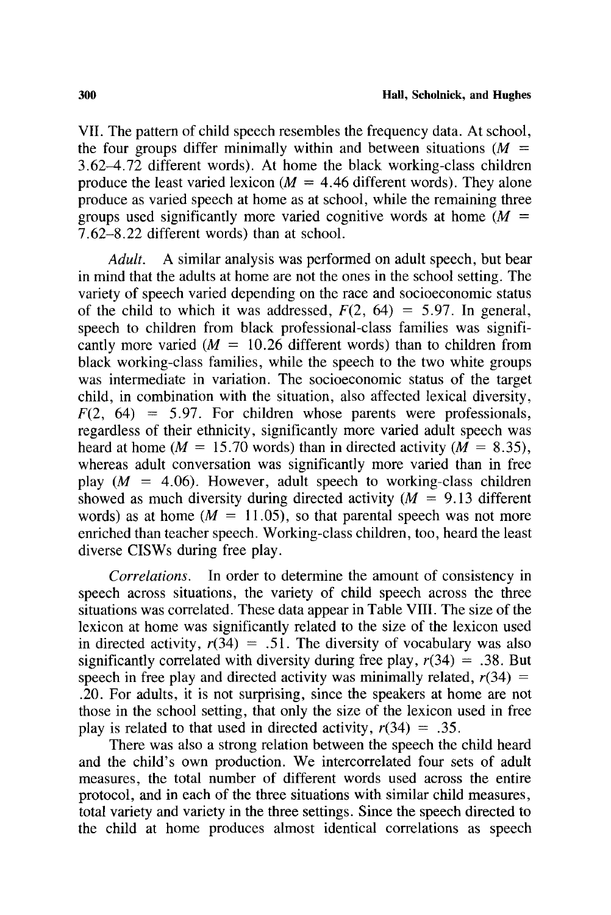VII. The pattern of child speech resembles the frequency data. At school, the four groups differ minimally within and between situations ( $M =$ 3.62-4.72 different words). At home the black working-class children produce the least varied lexicon ( $M = 4.46$  different words). They alone produce as varied speech at home as at school, while the remaining three groups used significantly more varied cognitive words at home  $(M =$ 7.62-8.22 different words) than at school.

*Adult.* A similar analysis was performed on adult speech, but bear in mind that the adults at home are not the ones in the school setting. The variety of speech varied depending on the race and socioeconomic status of the child to which it was addressed,  $F(2, 64) = 5.97$ . In general, speech to children from black professional-class families was significantly more varied ( $M = 10.26$  different words) than to children from black working-class families, while the speech to the two white groups was intermediate in variation. The socioeconomic status of the target child, in combination with the situation, also affected lexical diversity,  $F(2, 64) = 5.97$ . For children whose parents were professionals, regardless of their ethnicity, significantly more varied adult speech was heard at home ( $M = 15.70$  words) than in directed activity ( $M = 8.35$ ), whereas adult conversation was significantly more varied than in free play  $(M = 4.06)$ . However, adult speech to working-class children showed as much diversity during directed activity ( $M = 9.13$  different words) as at home  $(M = 11.05)$ , so that parental speech was not more enriched than teacher speech. Working-class children, too, heard the least diverse CISWs during free play.

*Correlations.* In order to determine the amount of consistency in speech across situations, the variety of child speech across the three situations was correlated. These data appear in Table VIII. The size of the lexicon at home was significantly related to the size of the lexicon used in directed activity,  $r(34) = .51$ . The diversity of vocabulary was also significantly correlated with diversity during free play,  $r(34) = .38$ . But speech in free play and directed activity was minimally related,  $r(34)$  = .20. For adults, it is not surprising, since the speakers at home are not those in the school setting, that only the size of the lexicon used in free play is related to that used in directed activity,  $r(34) = .35$ .

There was also a strong relation between the speech the child heard and the child's own production. We intercorrelated four sets of adult measures, the total number of different words used across the entire protocol, and in each of the three situations with similar child measures, total variety and variety in the three settings. Since the speech directed to the child at home produces almost identical correlations as speech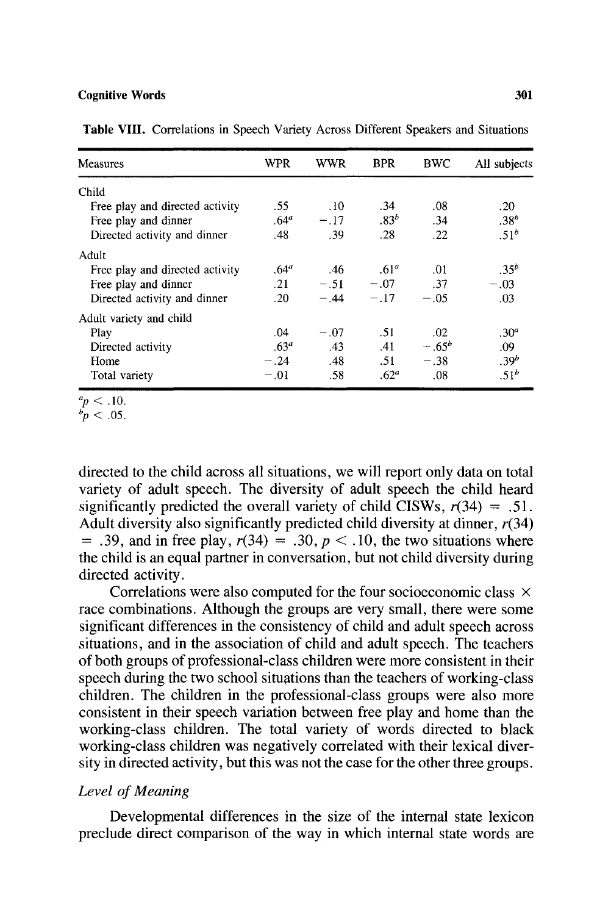| <b>Measures</b>                 | <b>WPR</b>       | <b>WWR</b> | <b>BPR</b>       | BWC      | All subjects     |
|---------------------------------|------------------|------------|------------------|----------|------------------|
| Child                           |                  |            |                  |          |                  |
| Free play and directed activity | .55              | .10        | .34              | .08      | .20              |
| Free play and dinner            | .64 <sup>a</sup> | $-.17$     | .83 <sup>b</sup> | .34      | .38 <sup>b</sup> |
| Directed activity and dinner    | .48              | -39        | .28              | .22      | .51 <sup>b</sup> |
| Adult                           |                  |            |                  |          |                  |
| Free play and directed activity | .64 <sup>a</sup> | .46        | .61 <sup>a</sup> | .01      | .35 <sup>b</sup> |
| Free play and dinner            | .21              | $-.51$     | $-.07$           | .37      | $-.03$           |
| Directed activity and dinner    | .20              | $-.44$     | $-.17$           | $-.05$   | .03              |
| Adult variety and child         |                  |            |                  |          |                  |
| Play                            | .04              | $-.07$     | .51              | .02      | .30 <sup>a</sup> |
| Directed activity               | .63 <sup>a</sup> | .43        | .41              | $-.65^b$ | .09              |
| Home                            | $-.24$           | .48        | .51              | $-.38$   | .39 <sup>b</sup> |
| Total variety                   | $-.01$           | .58        | .62 <sup>a</sup> | .08      | .51 <sup>b</sup> |

**Table VIII.** Correlations in Speech Variety Across Different Speakers and Situations

 $^{a}p < .10$ .

 $\bar{b_p}$  < .05.

directed to the child across all situations, we will report only data on total variety of adult speech. The diversity of adult speech the child heard significantly predicted the overall variety of child CISWs,  $r(34) = .51$ . Adult diversity also significantly predicted child diversity at dinner,  $r(34)$  $= .39$ , and in free play,  $r(34) = .30$ ,  $p < .10$ , the two situations where the child is an equal partner in conversation, but not child diversity during directed activity.

Correlations were also computed for the four socioeconomic class  $\times$ race combinations. Although the groups are very small, there were some significant differences **in** the consistency of child and adult speech across situations, and in the association of child and adult speech. The teachers of both groups of professional-class children were more consistent in their speech during the two school situations than the teachers of working-class children. The children in the professional-class groups were also more consistent in their speech variation between free play and home than the working-class children. The total variety of words directed to black working-class children was negatively correlated with their lexical diversity in directed activity, but this was not the case for the other three groups.

### *Level of Meaning*

Developmental differences in the size of the internal state lexicon preclude direct comparison of the way in which internal state words are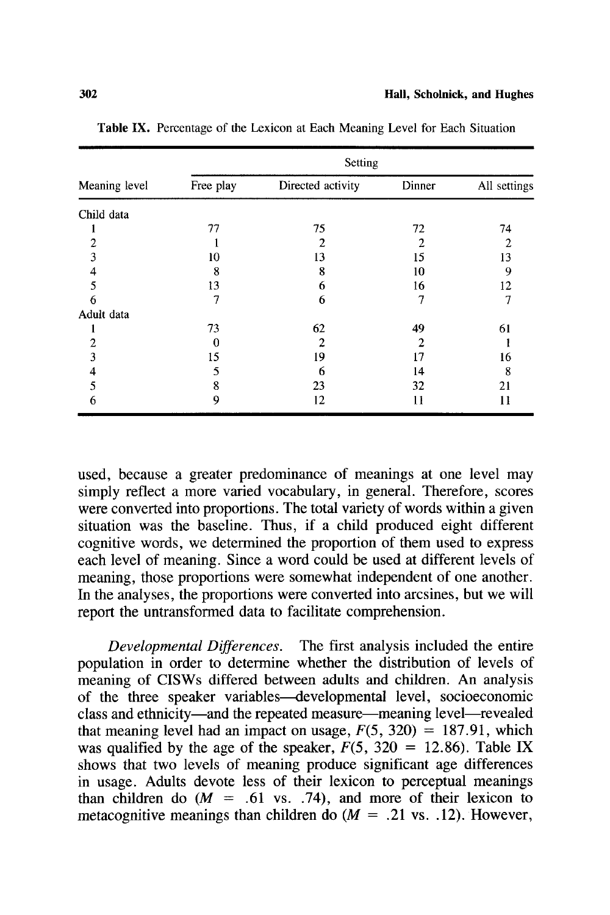|               | Setting   |                   |        |              |  |  |  |
|---------------|-----------|-------------------|--------|--------------|--|--|--|
| Meaning level | Free play | Directed activity | Dinner | All settings |  |  |  |
| Child data    |           |                   |        |              |  |  |  |
|               | 77        | 75                | 72     | 74           |  |  |  |
|               |           |                   |        | 2            |  |  |  |
|               | 10        | 13                | 15     | 13           |  |  |  |
| 4             | 8         | 8                 | 10     | 9            |  |  |  |
|               | 13        | h                 | 16     | 12           |  |  |  |
| o             | 7         | 6                 |        |              |  |  |  |
| Adult data    |           |                   |        |              |  |  |  |
|               | 73        | 62                | 49     | 61           |  |  |  |
|               | 0         | 2                 |        |              |  |  |  |
|               | 15        | 19                | 17     | 16           |  |  |  |
|               | 5         | h                 | 14     | 8            |  |  |  |
|               | 8         | 23                | 32     | 21           |  |  |  |
| 6             | 9         | 12                | 11     | 11           |  |  |  |

**Table IX.** Percentage of the Lexicon at Each Meaning Level for Each Situation

used, because a greater predominance of meanings at one level may simply reflect a more varied vocabulary, in general. Therefore, scores were converted into proportions. The total variety of words within a given situation was the baseline. Thus, if a child produced eight different cognitive words, we determined the proportion of them used to express each level of meaning. Since a word could be used at different levels of meaning, those proportions were somewhat independent of one another. In the analyses, the proportions were converted into arcsines, but we will report the untransformed data to facilitate comprehension.

*Developmental Differences.* The first analysis included the entire population in order to determine whether the distribution of levels of meaning of CISWs differed between adults and children. An analysis of the three speaker variables-developmental level, socioeconomic class and ethnicity—and the repeated measure—meaning level—revealed that meaning level had an impact on usage,  $F(5, 320) = 187.91$ , which was qualified by the age of the speaker,  $F(5, 320 = 12.86)$ . Table IX shows that two levels of meaning produce significant age differences in usage. Adults devote less of their lexicon to perceptual meanings than children do  $(M = .61$  vs. .74), and more of their lexicon to metacognitive meanings than children do  $(M = .21 \text{ vs. } .12)$ . However,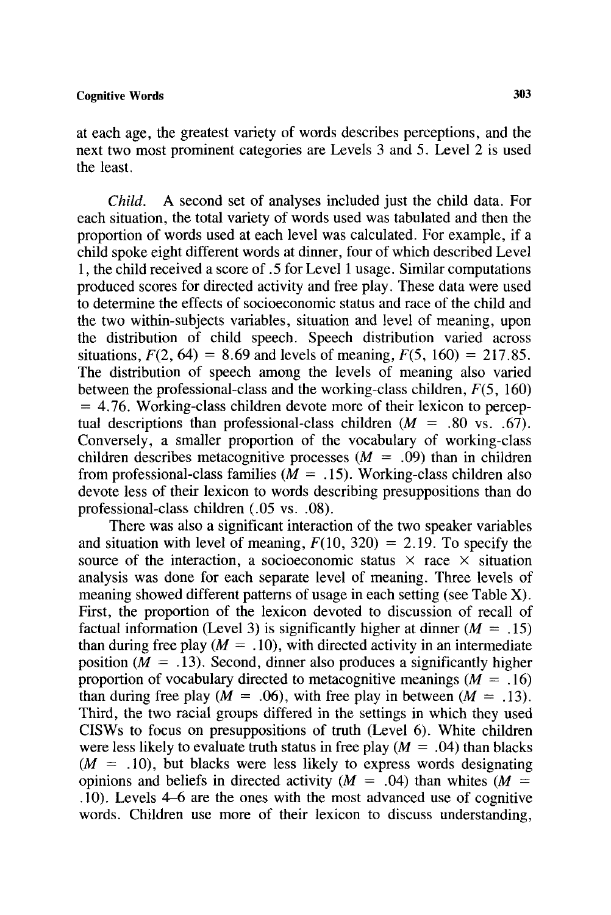at each age, the greatest variety of words describes perceptions, and the next two most prominent categories are Levels 3 and 5. Level 2 is used the least.

*Child.* A second set of analyses included just the child data. For each situation, the total variety of words used was tabulated and then the proportion of words used at each level was calculated. For example, if a child spoke eight different words at dinner, four of which described Level 1, the child received a score of .5 for Level 1 usage. Similar computations produced scores for directed activity and free play. These data were used to determine the effects of socioeconomic status and race of the child and the two within-subjects variables, situation and level of meaning, upon the distribution of child speech. Speech distribution varied across situations,  $F(2, 64) = 8.69$  and levels of meaning,  $F(5, 160) = 217.85$ . The distribution of speech among the levels of meaning also varied between the professional-class and the working-class children, *F(5,* 160)  $= 4.76$ . Working-class children devote more of their lexicon to perceptual descriptions than professional-class children  $(M = .80 \text{ vs. } .67)$ . Conversely, a smaller proportion of the vocabulary of working-class children describes metacognitive processes  $(M = .09)$  than in children from professional-class families ( $\dot{M} = .15$ ). Working-class children also devote less of their lexicon to words describing presuppositions than do professional-class children (. 05 vs. . 08).

There was also a significant interaction of the two speaker variables and situation with level of meaning,  $F(10, 320) = 2.19$ . To specify the source of the interaction, a socioeconomic status  $\times$  race  $\times$  situation analysis was done for each separate level of meaning. Three levels of meaning showed different patterns of usage in each setting (see Table X). First, the proportion of the lexicon devoted to discussion of recall of factual information (Level 3) is significantly higher at dinner  $(M = .15)$ than during free play ( $M = .10$ ), with directed activity in an intermediate position ( $\tilde{M} = .13$ ). Second, dinner also produces a significantly higher proportion of vocabulary directed to metacognitive meanings  $(M = 0.16)$ than during free play ( $M = .06$ ), with free play in between ( $M = .13$ ). Third, the two racial groups differed in the settings in which they used CISWs to focus on presuppositions of truth (Level 6). White children were less likely to evaluate truth status in free play  $(M = .04)$  than blacks  $(M = .10)$ , but blacks were less likely to express words designating opinions and beliefs in directed activity ( $M = .04$ ) than whites ( $M =$ .10). Levels 4-6 are the ones with the most advanced use of cognitive words. Children use more of their lexicon to discuss understanding,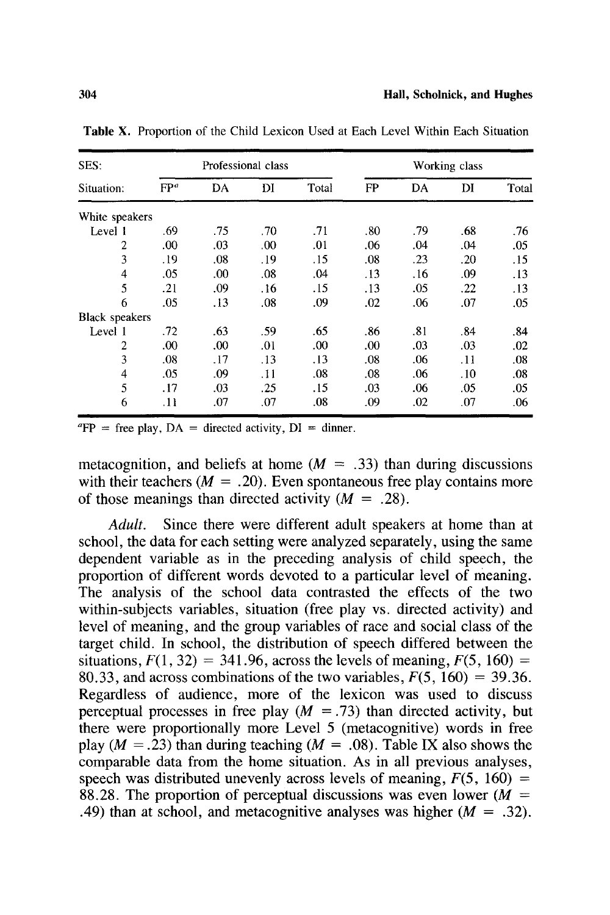| SES:                  |                 |      | Professional class |       | Working class |     |     |       |  |
|-----------------------|-----------------|------|--------------------|-------|---------------|-----|-----|-------|--|
| Situation:            | FP <sup>a</sup> | DA   | DI                 | Total | FP            | DA  | DI  | Total |  |
| White speakers        |                 |      |                    |       |               |     |     |       |  |
| Level 1               | .69             | .75  | .70                | .71   | .80           | .79 | .68 | .76   |  |
| $\overline{2}$        | .00             | .03  | .00.               | .01   | .06           | .04 | .04 | .05   |  |
| 3                     | .19             | .08  | .19                | .15   | .08           | .23 | .20 | .15   |  |
| 4                     | .05             | .00. | .08                | .04   | .13           | .16 | .09 | .13   |  |
| 5                     | .21             | .09  | .16                | .15   | .13           | .05 | .22 | .13   |  |
| 6                     | .05             | .13  | .08                | .09   | .02           | .06 | .07 | .05   |  |
| <b>Black speakers</b> |                 |      |                    |       |               |     |     |       |  |
| Level 1               | .72             | .63  | .59                | .65   | .86           | .81 | .84 | .84   |  |
| 2                     | .00             | .00. | .01                | .00   | .00           | .03 | .03 | .02   |  |
| 3                     | .08             | .17  | .13                | .13   | .08           | .06 | .11 | .08   |  |
| 4                     | .05             | .09  | .11                | .08   | .08           | .06 | .10 | .08   |  |
| 5                     | .17             | .03  | .25                | .15   | .03           | .06 | .05 | .05   |  |
| 6                     | .11             | .07  | .07                | .08   | .09           | .02 | .07 | .06   |  |

**Table X.** Proportion of the Child Lexicon Used at Each Level Within Each Situation

 ${}^{a}FP$  = free play,  $DA$  = directed activity,  $DI$  = dinner.

metacognition, and beliefs at home  $(M = .33)$  than during discussions with their teachers  $(M = .20)$ . Even spontaneous free play contains more of those meanings than directed activity  $(M = .28)$ .

*Adult.* Since there were different adult speakers at home than at school, the data for each setting were analyzed separately, using the same dependent variable as in the preceding analysis of child speech, the proportion of different words devoted to a particular level of meaning. The analysis of the school data contrasted the effects of the two within-subjects variables, situation (free play vs. directed activity) and level of meaning, and the group variables of race and social class of the target child. In school, the distribution of speech differed between the situations,  $F(1, 32) = 341.96$ , across the levels of meaning,  $F(5, 160) =$ 80.33, and across combinations of the two variables,  $F(5, 160) = 39.36$ . Regardless of audience, more of the lexicon was used to discuss perceptual processes in free play  $(M = .73)$  than directed activity, but there were proportionally more Level 5 (metacognitive) words in free play  $(M = .23)$  than during teaching  $(M = .08)$ . Table IX also shows the comparable data from the home situation. As in all previous analyses, speech was distributed unevenly across levels of meaning,  $F(5, 160) =$ 88.28. The proportion of perceptual discussions was even lower ( $M =$ .49) than at school, and metacognitive analyses was higher  $(M = .32)$ .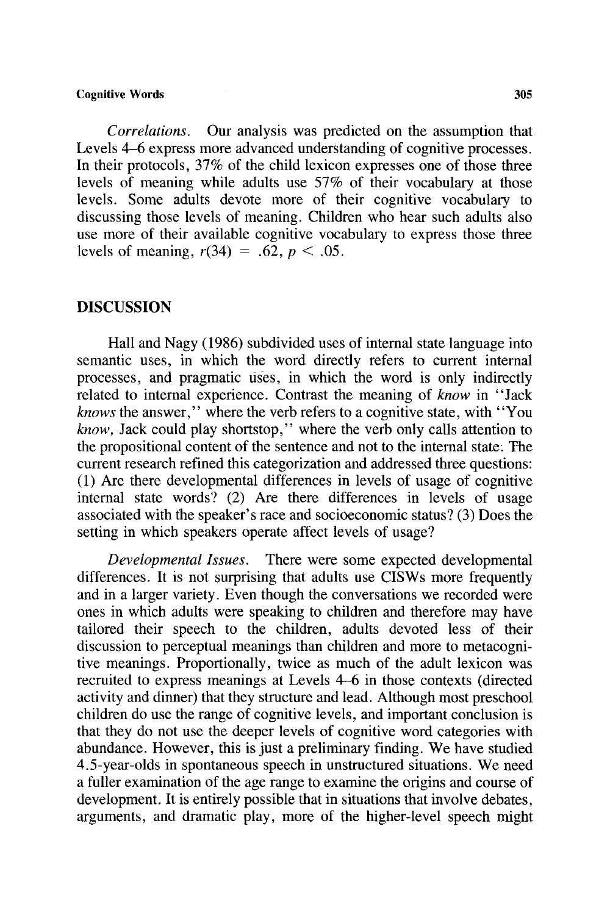*Correlations.* Our analysis was predicted on the assumption that Levels 4-6 express more advanced understanding of cognitive processes. In their protocols, 37% of the child lexicon expresses one of those three levels of meaning while adults use 57% of their vocabulary at those levels. Some adults devote more of their cognitive vocabulary to discussing those levels of meaning. Children who hear such adults also use more of their available cognitive vocabulary to express those three levels of meaning,  $r(34) = .62$ ,  $p < .05$ .

### **DISCUSSION**

Hall and Nagy (1986) subdivided uses of internal state language into semantic uses, in which the word directly refers to current internal processes, and pragmatic uses, in which the word is only indirectly related to internal experience. Contrast the meaning of *know* in "Jack *knows* the answer,'' where the verb refers to a cognitive state, with ''You *know,* Jack could play shortstop," where the verb only calls attention to the propositional content of the sentence and not to the internal state. The current research refined this categorization and addressed three questions: ( 1) Are there developmental differences in levels of usage of cognitive internal state words? (2) Are there differences in levels of usage associated with the speaker's race and socioeconomic status? (3) Does the setting in which speakers operate affect levels of usage?

*Developmental Issues.* There were some expected developmental differences. It is not surprising that adults use CISWs more frequently and in a larger variety. Even though the conversations we recorded were ones in which adults were speaking to children and therefore may have tailored their speech to the children, adults devoted less of their discussion to perceptual meanings than children and more to metacognitive meanings. Proportionally, twice as much of the adult lexicon was recruited to express meanings at Levels 4-6 in those contexts (directed activity and dinner) that they structure and lead. Although most preschool children do use the range of cognitive levels, and important conclusion is that they do not use the deeper levels of cognitive word categories with abundance. However, this is just a preliminary finding. We have studied 4.5-year-olds in spontaneous speech in unstructured situations. We need a fuller examination of the age range to examine the origins and course of development. It is entirely possible that in situations that involve debates, arguments, and dramatic play, more of the higher-level speech might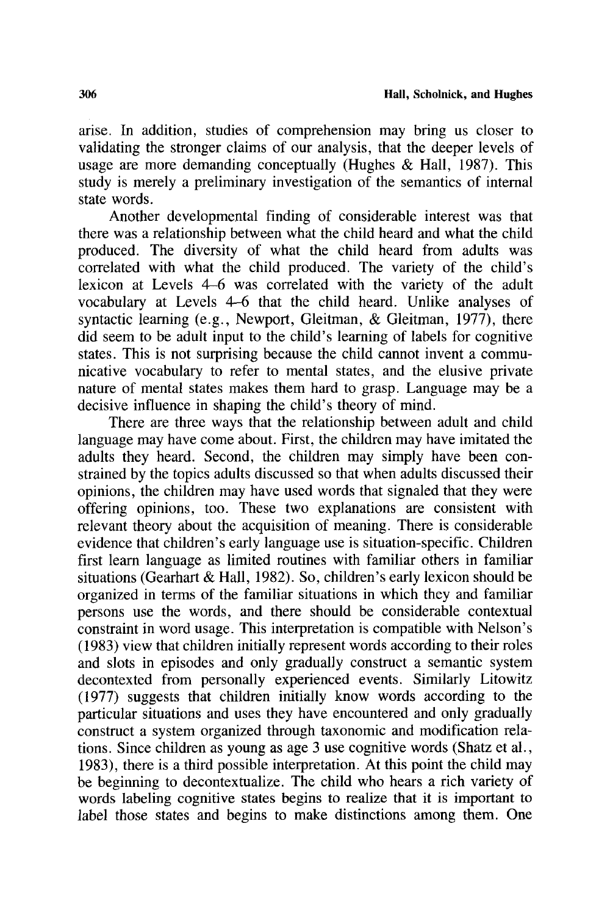arise. In addition, studies of comprehension may bring us closer to validating the stronger claims of our analysis, that the deeper levels of usage are more demanding conceptually (Hughes & Hall, 1987). This study is merely a preliminary investigation of the semantics of internal state words.

Another developmental finding of considerable interest was that there was a relationship between what the child heard and what the child produced. The diversity of what the child heard from adults was correlated with what the child produced. The variety of the child's lexicon at Levels 4-6 was correlated with the variety of the adult vocabulary at Levels 4-6 that the child heard. Unlike analyses of syntactic learning (e.g., Newport, Gleitman, & Gleitman, 1977), there did seem to be adult input to the child's learning of labels for cognitive states. This is not surprising because the child cannot invent a communicative vocabulary to refer to mental states, and the elusive private nature of mental states makes them hard to grasp. Language may be a decisive influence in shaping the child's theory of mind.

There are three ways that the relationship between adult and child language may have come about. First, the children may have imitated the adults they heard. Second, the children may simply have been constrained by the topics adults discussed so that when adults discussed their opinions, the children may have used words that signaled that they were offering opinions, too. These two explanations are consistent with relevant theory about the acquisition of meaning. There is considerable evidence that children's early language use is situation-specific. Children first learn language as limited routines with familiar others in familiar situations (Gearhart & Hall, 1982). So, children's early lexicon should be organized in terms of the familiar situations in which they and familiar persons use the words, and there should be considerable contextual constraint in word usage. This interpretation is compatible with Nelson's (1983) view that children initially represent words according to their roles and slots in episodes and only gradually construct a semantic system decontexted from personally experienced events. Similarly Litowitz ( 1977) suggests that children initially know words according to the particular situations and uses they have encountered and only gradually construct a system organized through taxonomic and modification relations. Since children as young as age 3 use cognitive words (Shatz et al., 1983), there is a third possible interpretation. At this point the child may be beginning to decontextualize. The child who hears a rich variety of words labeling cognitive states begins to realize that it is important to label those states and begins to make distinctions among them. One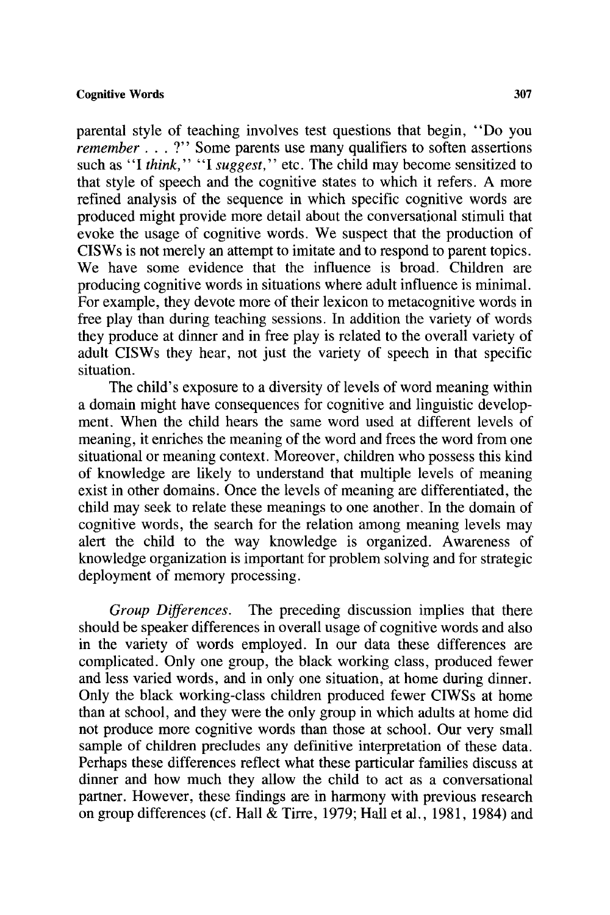parental style of teaching involves test questions that begin, ''Do you *remember* . . . ?" Some parents use many qualifiers to soften assertions such as "I *think,"* "I *suggest,"* etc. The child may become sensitized to that style of speech and the cognitive states to which it refers. A more refined analysis of the sequence in which specific cognitive words are produced might provide more detail about the conversational stimuli that evoke the usage of cognitive words. We suspect that the production of CISWs is not merely an attempt to imitate and to respond to parent topics. We have some evidence that the influence is broad. Children are producing cognitive words in situations where adult influence is minimal. For example, they devote more of their lexicon to metacognitive words in free play than during teaching sessions. In addition the variety of words they produce at dinner and in free play is related to the overall variety of adult CISWs they hear, not just the variety of speech in that specific situation.

The child's exposure to a diversity of levels of word meaning within a domain might have consequences for cognitive and linguistic development. When the child hears the same word used at different levels of meaning, it enriches the meaning of the word and frees the word from one situational or meaning context. Moreover, children who possess this kind of knowledge are likely to understand that multiple levels of meaning exist in other domains. Once the levels of meaning are differentiated, the child may seek to relate these meanings to one another. In the domain of cognitive words, the search for the relation among meaning levels may alert the child to the way knowledge is organized. Awareness of knowledge organization is important for problem solving and for strategic deployment of memory processing.

*Group Differences.* The preceding discussion implies that there should be speaker differences in overall usage of cognitive words and also in the variety of words employed. In our data these differences are complicated. Only one group, the black working class, produced fewer and less varied words, and in only one situation, at home during dinner. Only the black working-class children produced fewer CIWSs at home than at school, and they were the only group in which adults at home did not produce more cognitive words than those at school. Our very small sample of children precludes any definitive interpretation of these data. Perhaps these differences reflect what these particular families discuss at dinner and how much they allow the child to act as a conversational partner. However, these findings are in harmony with previous research on group differences (cf. Hall & Tirre, 1979; Hall et al., 1981, 1984) and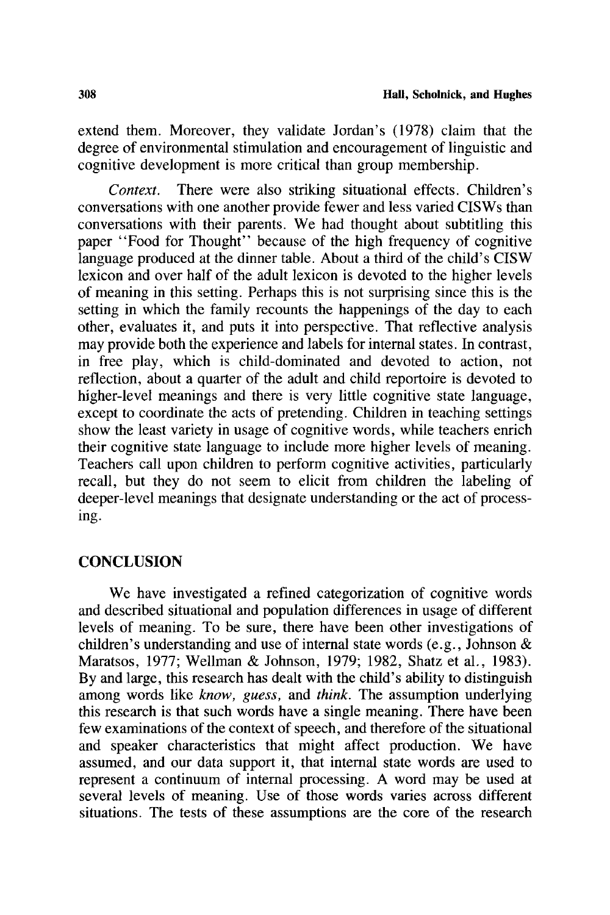extend them. Moreover, they validate Jordan's (1978) claim that the degree of environmental stimulation and encouragement of linguistic and cognitive development is more critical than group membership.

*Context.* There were also striking situational effects. Children's conversations with one another provide fewer and less varied CISWs than conversations with their parents. We had thought about subtitling this paper "Food for Thought" because of the high frequency of cognitive language produced at the dinner table. About a third of the child's CISW lexicon and over half of the adult lexicon is devoted to the higher levels of meaning in this setting. Perhaps this is not surprising since this is the setting in which the family recounts the happenings of the day to each other, evaluates it, and puts it into perspective. That reflective analysis may provide both the experience and labels for internal states. In contrast, in free play, which is child-dominated and devoted to action, not reflection, about a quarter of the adult and child reportoire is devoted to higher-level meanings and there is very little cognitive state language, except to coordinate the acts of pretending. Children in teaching settings show the least variety in usage of cognitive words, while teachers enrich their cognitive state language to include more higher levels of meaning. Teachers call upon children to perform cognitive activities, particularly recall, but they do not seem to elicit from children the labeling of deeper-level meanings that designate understanding or the act of processing.

### **CONCLUSION**

We have investigated a refined categorization of cognitive words and described situational and population differences in usage of different levels of meaning. To be sure, there have been other investigations of children's understanding and use of internal state words (e.g., Johnson & Maratsos, 1977; Wellman & Johnson, 1979; 1982, Shatz et al., 1983). By and large, this research has dealt with the child's ability to distinguish among words like *know, guess,* and *think.* The assumption underlying this research is that such words have a single meaning. There have been few examinations of the context of speech, and therefore of the situational and speaker characteristics that might affect production. We have assumed, and our data support it, that internal state words are used to represent a continuum of internal processing. A word may be used at several levels of meaning. Use of those words varies across different situations. The tests of these assumptions are the core of the research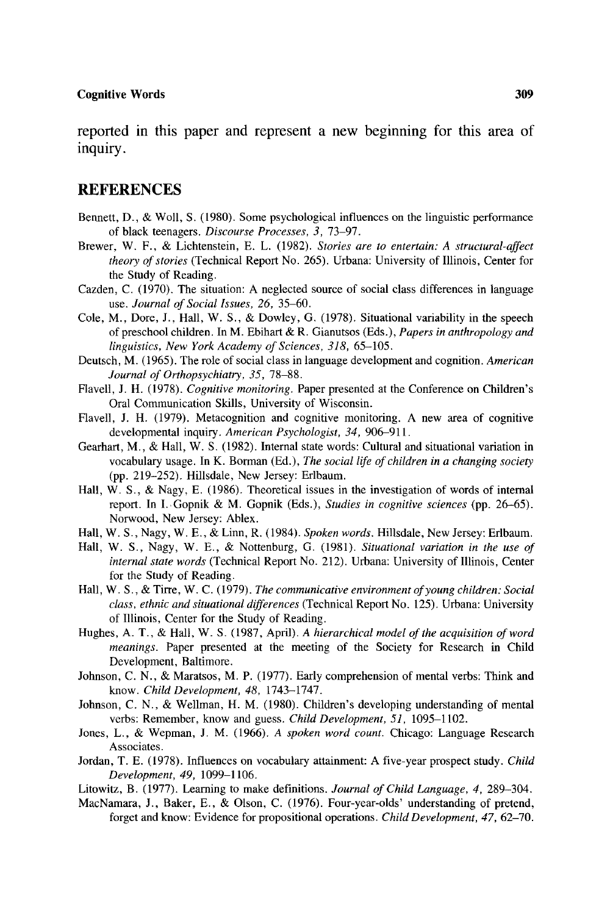reported in this paper and represent a new beginning for this area of inquiry.

### **REFERENCES**

- Bennett, D., & Woll, S. (1980). Some psychological influences on the linguistic performance of black teenagers. *Discourse Processes, 3,* 73-97.
- Brewer, W. F., & Lichtenstein, E. L. (1982). *Stories are to entertain: A structural-affect theory of stories* (Technical Report No. 265). Urbana: University of Illinois, Center for the Study of Reading.
- Cazden, C. (1970). The situation: A neglected source of social class differences in language use. *Journal of Social Issues, 26,* 35-60.
- Cole, M., Dore, J., Hall, W. S., & Dawley, G. (1978). Situational variability in the speech of preschool children. In M. Ebihart & **R.** Gianutsos (Eds.), *Papers in anthropology and linguistics, New York Academy of Sciences, 318,* 65-105.
- Deutsch, **M.** (1965). The role of social class in language development and cognition. *American Journal of Orthopsychiatry, 35,* 78-88.
- Flavell, J. **H.** (1978). *Cognitive monitoring.* Paper presented at the Conference on Children's Oral Communication Skills, University of Wisconsin.
- Flavell, J. H. (1979). Metacognition and cognitive monitoring. A new area of cognitive developmental inquiry. *American Psychologist*, 34, 906-911.
- Gearhart, M., & Hall, W. S. (1982). Internal state words: Cultural and situational variation in vocabulary usage. In K. Borman (Ed.), *The social life of children in a changing society*  (pp. 219-252). Hillsdale, New Jersey: Erlbaum.
- Hall, W. S., & Nagy, E. (1986). Theoretical issues in the investigation of words of internal report. In I..Gopnik & M. Gopnik (Eds.), *Studies in cognitive sciences* (pp. 26--65). Norwood, New Jersey: Ablex.
- Hall, W. S., Nagy, W. E., & Linn, R. (1984). *Spoken words.* Hillsdale, New Jersey: Erlbaum.
- Hall, W. S., Nagy, W. E., & Nottenburg, G. (1981). *Situational variation in the use of internal state words* (Technical Report No. 212). Urbana: University of Illinois, Center for the Study of Reading.
- Hall, W. S., & Tirre, W. C. (1979). *The communicative environment of young children: Social class, ethnic and situational differences* (Technical Report No. 125). Urbana: University of Illinois, Center for the Study of Reading.
- Hughes, A. T., & Hall, W. S. (1987, April). *A hierarchical model of the acquisition of word meanings.* Paper presented at the meeting of the Society for Research in Child Development, Baltimore.
- Johnson, C. N., & Maratsos, M. P. (1977). Early comprehension of mental verbs: Think and know. *Child Development, 48,* 1743-1747.
- Johnson, C. N., & Wellman, **H. M.** (1980). Children's developing understanding of mental verbs: Remember, know and guess. *Child Development, 51,* 1095-1102.
- Jones, L., & Wepman, J. M. (1966). *A spoken word count.* Chicago: Language Research Associates.
- Jordan, T. E. (1978). Influences on vocabulary attainment: A five-year prospect study. *Child Development, 49,* 1099-1106.
- Litowitz, B. (1977). Learning to make definitions. *Journal of Child Language, 4,* 289-304.
- MacNamara, J., Baker, E., & Olson, C. (1976). Four-year-olds' understanding of pretend, forget and know: Evidence for propositional operations. *Child Development, 47,* 62-70.